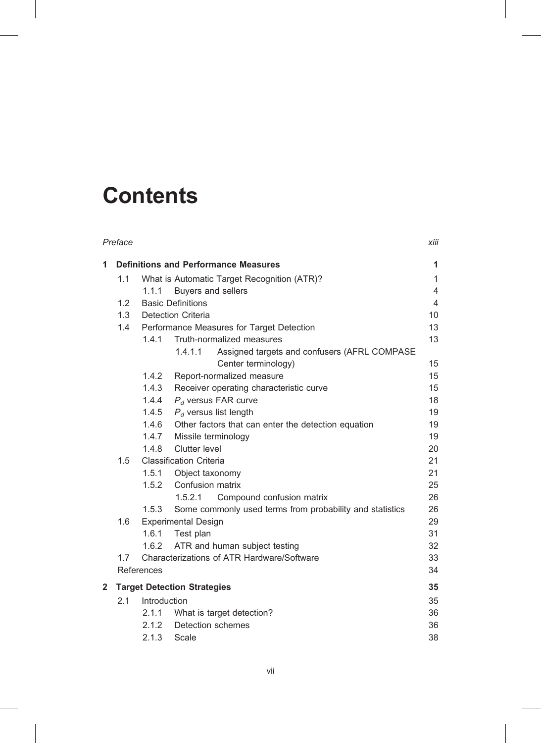## **Contents**

|   | Preface |                                             |                                                          | xiii           |  |  |
|---|---------|---------------------------------------------|----------------------------------------------------------|----------------|--|--|
| 1 |         | <b>Definitions and Performance Measures</b> |                                                          |                |  |  |
|   | 1.1     | What is Automatic Target Recognition (ATR)? |                                                          |                |  |  |
|   |         | 1.1.1                                       | Buyers and sellers                                       | 4              |  |  |
|   | 1.2     |                                             | <b>Basic Definitions</b>                                 | $\overline{4}$ |  |  |
|   | 1.3     | <b>Detection Criteria</b>                   |                                                          |                |  |  |
|   | 1.4     | Performance Measures for Target Detection   |                                                          |                |  |  |
|   |         | 1.4.1                                       | Truth-normalized measures                                | 13             |  |  |
|   |         |                                             | 1.4.1.1<br>Assigned targets and confusers (AFRL COMPASE  |                |  |  |
|   |         |                                             | Center terminology)                                      | 15             |  |  |
|   |         | 1.4.2                                       | Report-normalized measure                                | 15             |  |  |
|   |         | 1.4.3                                       | Receiver operating characteristic curve                  | 15<br>18       |  |  |
|   |         | 1.4.4<br>1.4.5                              | $P_d$ versus FAR curve<br>$P_d$ versus list length       | 19             |  |  |
|   |         | 1.4.6                                       | Other factors that can enter the detection equation      | 19             |  |  |
|   |         |                                             | 1.4.7 Missile terminology                                | 19             |  |  |
|   |         | 1.4.8                                       | <b>Clutter level</b>                                     | 20             |  |  |
|   | 1.5     |                                             | <b>Classification Criteria</b>                           | 21             |  |  |
|   |         |                                             | 1.5.1 Object taxonomy                                    | 21             |  |  |
|   |         |                                             | 1.5.2 Confusion matrix                                   | 25             |  |  |
|   |         |                                             | 1.5.2.1<br>Compound confusion matrix                     | 26             |  |  |
|   |         | 1.5.3                                       | Some commonly used terms from probability and statistics | 26             |  |  |
|   | 1.6     |                                             | <b>Experimental Design</b>                               | 29             |  |  |
|   |         | 1.6.1                                       | Test plan                                                | 31             |  |  |
|   |         |                                             | 1.6.2 ATR and human subject testing                      | 32             |  |  |
|   | 1.7     |                                             | Characterizations of ATR Hardware/Software               | 33             |  |  |
|   |         | References                                  |                                                          | 34             |  |  |
| 2 |         | <b>Target Detection Strategies</b>          |                                                          |                |  |  |
|   | 2.1     | Introduction                                |                                                          |                |  |  |
|   |         | 2.1.1                                       | What is target detection?                                | 36             |  |  |
|   |         | 2.1.2                                       | Detection schemes                                        | 36             |  |  |
|   |         | 2.1.3                                       | Scale                                                    | 38             |  |  |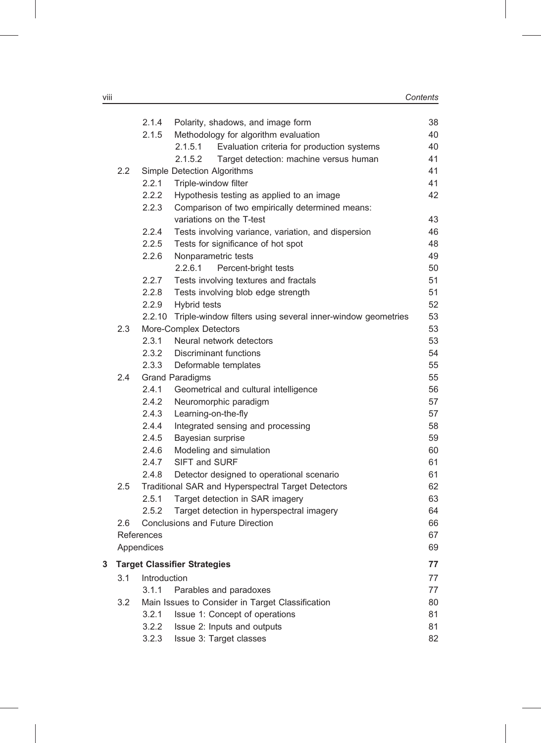|   |                                     | 2.1.4                            | Polarity, shadows, and image form                                  | 38 |  |  |
|---|-------------------------------------|----------------------------------|--------------------------------------------------------------------|----|--|--|
|   |                                     | 2.1.5                            | Methodology for algorithm evaluation                               | 40 |  |  |
|   |                                     |                                  | Evaluation criteria for production systems<br>2.1.5.1              | 40 |  |  |
|   |                                     |                                  | 2.1.5.2<br>Target detection: machine versus human                  | 41 |  |  |
|   | $2.2\phantom{0}$                    |                                  | Simple Detection Algorithms                                        | 41 |  |  |
|   |                                     | 2.2.1                            | Triple-window filter                                               | 41 |  |  |
|   |                                     | 2.2.2                            | Hypothesis testing as applied to an image                          | 42 |  |  |
|   |                                     | 2.2.3                            | Comparison of two empirically determined means:                    |    |  |  |
|   |                                     |                                  | variations on the T-test                                           | 43 |  |  |
|   |                                     | 2.2.4                            | Tests involving variance, variation, and dispersion                | 46 |  |  |
|   |                                     | 2.2.5                            | Tests for significance of hot spot                                 | 48 |  |  |
|   |                                     | 2.2.6                            | Nonparametric tests                                                | 49 |  |  |
|   |                                     |                                  | 2.2.6.1<br>Percent-bright tests                                    | 50 |  |  |
|   |                                     | 2.2.7                            | Tests involving textures and fractals                              | 51 |  |  |
|   |                                     | 2.2.8                            | Tests involving blob edge strength                                 | 51 |  |  |
|   |                                     | 2.2.9                            | Hybrid tests                                                       | 52 |  |  |
|   |                                     |                                  | 2.2.10 Triple-window filters using several inner-window geometries | 53 |  |  |
|   | 2.3                                 |                                  | More-Complex Detectors                                             | 53 |  |  |
|   |                                     | 2.3.1                            | Neural network detectors                                           | 53 |  |  |
|   |                                     | 2.3.2                            | <b>Discriminant functions</b>                                      | 54 |  |  |
|   |                                     | 2.3.3                            | Deformable templates                                               | 55 |  |  |
|   | 2.4                                 |                                  | <b>Grand Paradigms</b>                                             | 55 |  |  |
|   |                                     | 2.4.1                            | Geometrical and cultural intelligence                              | 56 |  |  |
|   |                                     | 2.4.2                            | Neuromorphic paradigm                                              | 57 |  |  |
|   |                                     | 2.4.3                            | Learning-on-the-fly                                                | 57 |  |  |
|   |                                     | 2.4.4                            | Integrated sensing and processing                                  | 58 |  |  |
|   |                                     | 2.4.5                            | Bayesian surprise                                                  | 59 |  |  |
|   |                                     | 2.4.6                            | Modeling and simulation                                            | 60 |  |  |
|   |                                     | 2.4.7                            | SIFT and SURF                                                      | 61 |  |  |
|   |                                     | 2.4.8                            | Detector designed to operational scenario                          | 61 |  |  |
|   | 2.5                                 |                                  | Traditional SAR and Hyperspectral Target Detectors                 | 62 |  |  |
|   |                                     | 2.5.1                            | Target detection in SAR imagery                                    | 63 |  |  |
|   |                                     | 2.5.2                            | Target detection in hyperspectral imagery                          | 64 |  |  |
|   | 2.6                                 | Conclusions and Future Direction |                                                                    |    |  |  |
|   |                                     | References                       |                                                                    |    |  |  |
|   |                                     | Appendices                       |                                                                    | 69 |  |  |
| 3 | <b>Target Classifier Strategies</b> |                                  |                                                                    |    |  |  |
|   | 3.1                                 | Introduction                     |                                                                    | 77 |  |  |
|   |                                     | 3.1.1                            | Parables and paradoxes                                             | 77 |  |  |
|   | 3.2                                 |                                  | Main Issues to Consider in Target Classification                   | 80 |  |  |
|   |                                     | 3.2.1                            | Issue 1: Concept of operations                                     | 81 |  |  |
|   |                                     | 3.2.2                            | Issue 2: Inputs and outputs                                        | 81 |  |  |
|   |                                     | 3.2.3                            | Issue 3: Target classes                                            | 82 |  |  |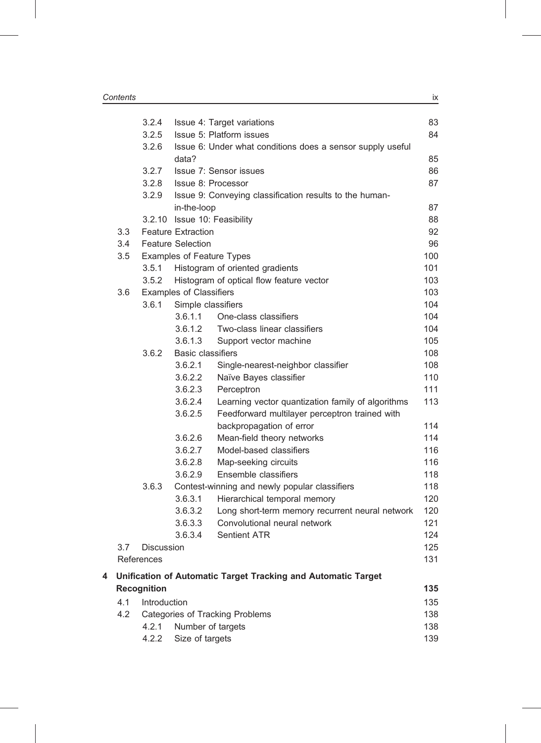|   |                                                                                            | 3.2.4                            |                           | Issue 4: Target variations                                 | 83         |  |  |
|---|--------------------------------------------------------------------------------------------|----------------------------------|---------------------------|------------------------------------------------------------|------------|--|--|
|   |                                                                                            | 3.2.5                            |                           | Issue 5: Platform issues                                   | 84         |  |  |
|   |                                                                                            | 3.2.6                            | data?                     | Issue 6: Under what conditions does a sensor supply useful | 85         |  |  |
|   |                                                                                            | 3.2.7                            |                           | Issue 7: Sensor issues                                     | 86         |  |  |
|   |                                                                                            | 3.2.8                            |                           | Issue 8: Processor                                         | 87         |  |  |
|   |                                                                                            | 3.2.9                            |                           | Issue 9: Conveying classification results to the human-    |            |  |  |
|   |                                                                                            |                                  | in-the-loop               |                                                            | 87         |  |  |
|   |                                                                                            |                                  |                           | 3.2.10 Issue 10: Feasibility                               | 88         |  |  |
|   | 3.3                                                                                        |                                  | <b>Feature Extraction</b> |                                                            | 92         |  |  |
|   | 3.4                                                                                        |                                  | <b>Feature Selection</b>  |                                                            |            |  |  |
|   | 3.5                                                                                        | <b>Examples of Feature Types</b> |                           |                                                            |            |  |  |
|   |                                                                                            | 3.5.1                            |                           | Histogram of oriented gradients                            | 101        |  |  |
|   |                                                                                            | 3.5.2                            |                           | Histogram of optical flow feature vector                   | 103        |  |  |
|   | 3.6                                                                                        | <b>Examples of Classifiers</b>   |                           |                                                            |            |  |  |
|   |                                                                                            | 3.6.1                            | Simple classifiers        |                                                            | 104        |  |  |
|   |                                                                                            |                                  | 3.6.1.1                   | One-class classifiers                                      | 104        |  |  |
|   |                                                                                            |                                  | 3.6.1.2                   | Two-class linear classifiers                               | 104        |  |  |
|   |                                                                                            |                                  | 3.6.1.3                   | Support vector machine                                     | 105        |  |  |
|   |                                                                                            | 3.6.2                            | <b>Basic classifiers</b>  |                                                            | 108        |  |  |
|   |                                                                                            |                                  | 3.6.2.1                   | Single-nearest-neighbor classifier                         | 108        |  |  |
|   |                                                                                            |                                  | 3.6.2.2                   | Naïve Bayes classifier                                     | 110        |  |  |
|   |                                                                                            |                                  | 3.6.2.3                   | Perceptron                                                 | 111        |  |  |
|   |                                                                                            |                                  | 3.6.2.4                   | Learning vector quantization family of algorithms          | 113        |  |  |
|   |                                                                                            |                                  | 3.6.2.5                   | Feedforward multilayer perceptron trained with             |            |  |  |
|   |                                                                                            |                                  |                           | backpropagation of error                                   | 114        |  |  |
|   |                                                                                            |                                  | 3.6.2.6                   | Mean-field theory networks                                 | 114        |  |  |
|   |                                                                                            |                                  | 3.6.2.7                   | Model-based classifiers                                    | 116        |  |  |
|   |                                                                                            |                                  | 3.6.2.8                   | Map-seeking circuits                                       | 116        |  |  |
|   |                                                                                            |                                  | 3.6.2.9                   | Ensemble classifiers                                       | 118        |  |  |
|   |                                                                                            | 3.6.3                            |                           | Contest-winning and newly popular classifiers              | 118        |  |  |
|   |                                                                                            |                                  | 3.6.3.1                   | Hierarchical temporal memory                               | 120        |  |  |
|   |                                                                                            |                                  | 3.6.3.2                   | Long short-term memory recurrent neural network            | 120        |  |  |
|   |                                                                                            |                                  | 3.6.3.3                   | Convolutional neural network                               | 121        |  |  |
|   |                                                                                            |                                  | 3.6.3.4                   | <b>Sentient ATR</b>                                        | 124        |  |  |
|   | 3.7                                                                                        | Discussion                       |                           |                                                            | 125        |  |  |
|   |                                                                                            | References                       |                           |                                                            | 131        |  |  |
| 4 | Unification of Automatic Target Tracking and Automatic Target<br><b>Recognition</b><br>135 |                                  |                           |                                                            |            |  |  |
|   | 4.1<br>Introduction                                                                        |                                  |                           |                                                            |            |  |  |
|   | 4.2                                                                                        |                                  |                           | <b>Categories of Tracking Problems</b>                     | 135<br>138 |  |  |
|   |                                                                                            | 4.2.1                            | Number of targets         |                                                            |            |  |  |
|   |                                                                                            | 4.2.2                            | Size of targets           |                                                            | 138<br>139 |  |  |
|   |                                                                                            |                                  |                           |                                                            |            |  |  |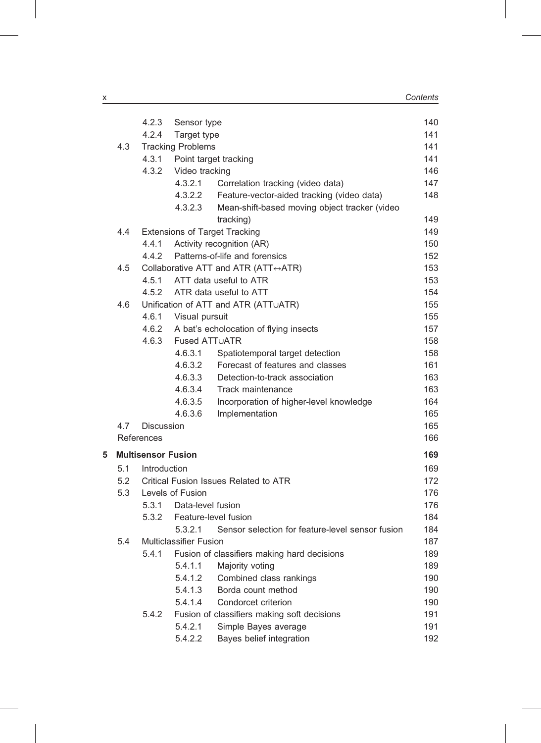|   |     | 4.2.3                     | Sensor type                           |                                                  | 140 |  |
|---|-----|---------------------------|---------------------------------------|--------------------------------------------------|-----|--|
|   |     | 4.2.4                     | Target type                           |                                                  | 141 |  |
|   | 4.3 |                           | <b>Tracking Problems</b>              |                                                  | 141 |  |
|   |     |                           |                                       | 4.3.1 Point target tracking                      | 141 |  |
|   |     | 4.3.2                     | Video tracking                        |                                                  | 146 |  |
|   |     |                           | 4.3.2.1                               | Correlation tracking (video data)                | 147 |  |
|   |     |                           | 4.3.2.2                               | Feature-vector-aided tracking (video data)       | 148 |  |
|   |     |                           | 4.3.2.3                               | Mean-shift-based moving object tracker (video    |     |  |
|   |     |                           |                                       | tracking)                                        | 149 |  |
|   | 4.4 |                           |                                       | <b>Extensions of Target Tracking</b>             | 149 |  |
|   |     | 4.4.1                     |                                       | Activity recognition (AR)                        | 150 |  |
|   |     | 4.4.2                     |                                       | Patterns-of-life and forensics                   | 152 |  |
|   | 4.5 |                           |                                       | Collaborative ATT and ATR (ATT↔ATR)              | 153 |  |
|   |     | 4.5.1                     |                                       | ATT data useful to ATR                           | 153 |  |
|   |     |                           |                                       | 4.5.2 ATR data useful to ATT                     | 154 |  |
|   | 4.6 |                           |                                       | Unification of ATT and ATR (ATTUATR)             | 155 |  |
|   |     | 4.6.1                     | Visual pursuit                        |                                                  | 155 |  |
|   |     | 4.6.2                     |                                       | A bat's echolocation of flying insects           | 157 |  |
|   |     | 4.6.3                     | <b>Fused ATTUATR</b>                  |                                                  | 158 |  |
|   |     |                           | 4.6.3.1                               | Spatiotemporal target detection                  | 158 |  |
|   |     |                           | 4.6.3.2                               | Forecast of features and classes                 | 161 |  |
|   |     |                           | 4.6.3.3                               | Detection-to-track association                   | 163 |  |
|   |     |                           | 4.6.3.4                               | Track maintenance                                | 163 |  |
|   |     |                           | 4.6.3.5                               | Incorporation of higher-level knowledge          | 164 |  |
|   |     |                           | 4.6.3.6                               | Implementation                                   | 165 |  |
|   | 4.7 | <b>Discussion</b>         |                                       |                                                  | 165 |  |
|   |     | References                |                                       |                                                  | 166 |  |
| 5 |     | <b>Multisensor Fusion</b> |                                       |                                                  | 169 |  |
|   | 5.1 | Introduction              |                                       |                                                  |     |  |
|   | 5.2 |                           | Critical Fusion Issues Related to ATR |                                                  |     |  |
|   | 5.3 |                           | Levels of Fusion                      |                                                  |     |  |
|   |     |                           | 5.3.1 Data-level fusion               |                                                  | 176 |  |
|   |     |                           |                                       | 5.3.2 Feature-level fusion                       | 184 |  |
|   |     |                           | 5.3.2.1                               | Sensor selection for feature-level sensor fusion | 184 |  |
|   | 5.4 | Multiclassifier Fusion    |                                       |                                                  |     |  |
|   |     | 5.4.1                     |                                       | Fusion of classifiers making hard decisions      | 189 |  |
|   |     |                           | 5.4.1.1                               | Majority voting                                  | 189 |  |
|   |     |                           | 5.4.1.2                               | Combined class rankings                          | 190 |  |
|   |     |                           | 5.4.1.3                               | Borda count method                               | 190 |  |
|   |     |                           | 5.4.1.4                               | Condorcet criterion                              | 190 |  |
|   |     | 5.4.2                     |                                       | Fusion of classifiers making soft decisions      | 191 |  |
|   |     |                           | 5.4.2.1                               | Simple Bayes average                             | 191 |  |
|   |     |                           | 5.4.2.2                               | Bayes belief integration                         | 192 |  |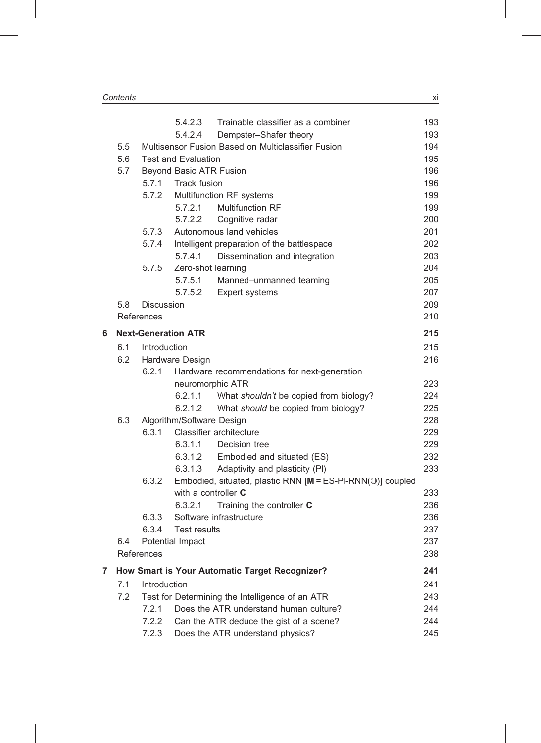|   |                     |                       | 5.4.2.3                                      | Trainable classifier as a combiner                           | 193        |  |
|---|---------------------|-----------------------|----------------------------------------------|--------------------------------------------------------------|------------|--|
|   |                     |                       | 5.4.2.4                                      | Dempster-Shafer theory                                       | 193        |  |
|   | 5.5                 |                       |                                              | Multisensor Fusion Based on Multiclassifier Fusion           | 194        |  |
|   | 5.6                 |                       | <b>Test and Evaluation</b>                   |                                                              | 195        |  |
|   | 5.7                 |                       | <b>Beyond Basic ATR Fusion</b>               |                                                              | 196<br>196 |  |
|   |                     | 5.7.1<br>Track fusion |                                              |                                                              |            |  |
|   |                     | 5.7.2                 |                                              | Multifunction RF systems                                     | 199        |  |
|   |                     |                       | 5.7.2.1                                      | <b>Multifunction RF</b>                                      | 199        |  |
|   |                     |                       | 5.7.2.2                                      | Cognitive radar                                              | 200        |  |
|   |                     | 5.7.3                 |                                              | Autonomous land vehicles                                     | 201        |  |
|   |                     | 5.7.4                 |                                              | Intelligent preparation of the battlespace                   | 202        |  |
|   |                     |                       | 5.7.4.1                                      | Dissemination and integration                                | 203        |  |
|   |                     | 5.7.5                 | Zero-shot learning                           |                                                              | 204        |  |
|   |                     |                       | 5.7.5.1                                      | Manned-unmanned teaming                                      | 205        |  |
|   |                     |                       | 5.7.5.2                                      | Expert systems                                               | 207        |  |
|   | 5.8                 | <b>Discussion</b>     |                                              |                                                              | 209        |  |
|   |                     | References            |                                              |                                                              | 210        |  |
| 6 |                     |                       | <b>Next-Generation ATR</b>                   |                                                              | 215        |  |
|   |                     | 6.1 Introduction      |                                              |                                                              | 215        |  |
|   | 6.2                 |                       | Hardware Design                              |                                                              | 216        |  |
|   |                     | 6.2.1                 | Hardware recommendations for next-generation |                                                              |            |  |
|   |                     |                       | neuromorphic ATR                             |                                                              | 223        |  |
|   |                     |                       |                                              | 6.2.1.1 What shouldn't be copied from biology?               | 224        |  |
|   |                     |                       | 6.2.1.2                                      | What should be copied from biology?                          | 225        |  |
|   | 6.3                 |                       | Algorithm/Software Design                    |                                                              | 228        |  |
|   |                     | 6.3.1                 |                                              | Classifier architecture                                      | 229        |  |
|   |                     |                       | 6.3.1.1                                      | Decision tree                                                | 229        |  |
|   |                     |                       | 6.3.1.2                                      | Embodied and situated (ES)                                   | 232        |  |
|   |                     |                       | 6.3.1.3                                      | Adaptivity and plasticity (PI)                               | 233        |  |
|   |                     | 6.3.2                 |                                              | Embodied, situated, plastic RNN $[M = ES-PI-RNN(Q)]$ coupled |            |  |
|   |                     |                       | with a controller C                          |                                                              | 233        |  |
|   |                     |                       | 6.3.2.1                                      | Training the controller C                                    | 236        |  |
|   |                     | 6.3.3                 |                                              | Software infrastructure                                      | 236        |  |
|   |                     | 6.3.4                 | <b>Test results</b>                          |                                                              | 237        |  |
|   | 6.4                 |                       | Potential Impact                             |                                                              | 237        |  |
|   |                     | References            |                                              |                                                              | 238        |  |
| 7 |                     |                       |                                              | How Smart is Your Automatic Target Recognizer?               | 241        |  |
|   | 7.1<br>Introduction |                       |                                              |                                                              |            |  |
|   | 7.2                 |                       |                                              | Test for Determining the Intelligence of an ATR              | 243        |  |
|   |                     | 7.2.1                 |                                              | Does the ATR understand human culture?                       | 244        |  |
|   |                     | 7.2.2                 |                                              | Can the ATR deduce the gist of a scene?                      | 244        |  |
|   |                     | 7.2.3                 |                                              | Does the ATR understand physics?                             | 245        |  |